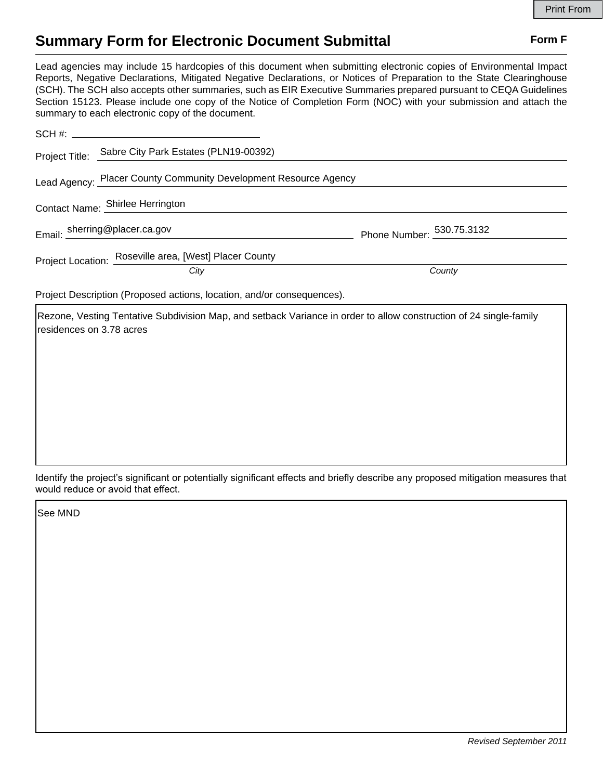## **Summary Form for Electronic Document Submittal Form F Form F**

Lead agencies may include 15 hardcopies of this document when submitting electronic copies of Environmental Impact Reports, Negative Declarations, Mitigated Negative Declarations, or Notices of Preparation to the State Clearinghouse (SCH). The SCH also accepts other summaries, such as EIR Executive Summaries prepared pursuant to CEQA Guidelines Section 15123. Please include one copy of the Notice of Completion Form (NOC) with your submission and attach the summary to each electronic copy of the document.

|                                                                  | Project Title: Sabre City Park Estates (PLN19-00392)                   |                           |  |
|------------------------------------------------------------------|------------------------------------------------------------------------|---------------------------|--|
| Lead Agency: Placer County Community Development Resource Agency |                                                                        |                           |  |
|                                                                  | Contact Name: Shirlee Herrington                                       |                           |  |
|                                                                  | Email: sherring@placer.ca.gov                                          | Phone Number: 530.75.3132 |  |
|                                                                  | Project Location: Roseville area, [West] Placer County                 |                           |  |
|                                                                  | City                                                                   | County                    |  |
|                                                                  | Project Description (Proposed actions, location, and/or consequences). |                           |  |

Rezone, Vesting Tentative Subdivision Map, and setback Variance in order to allow construction of 24 single-family residences on 3.78 acres

Identify the project's significant or potentially significant effects and briefly describe any proposed mitigation measures that would reduce or avoid that effect.

See MND